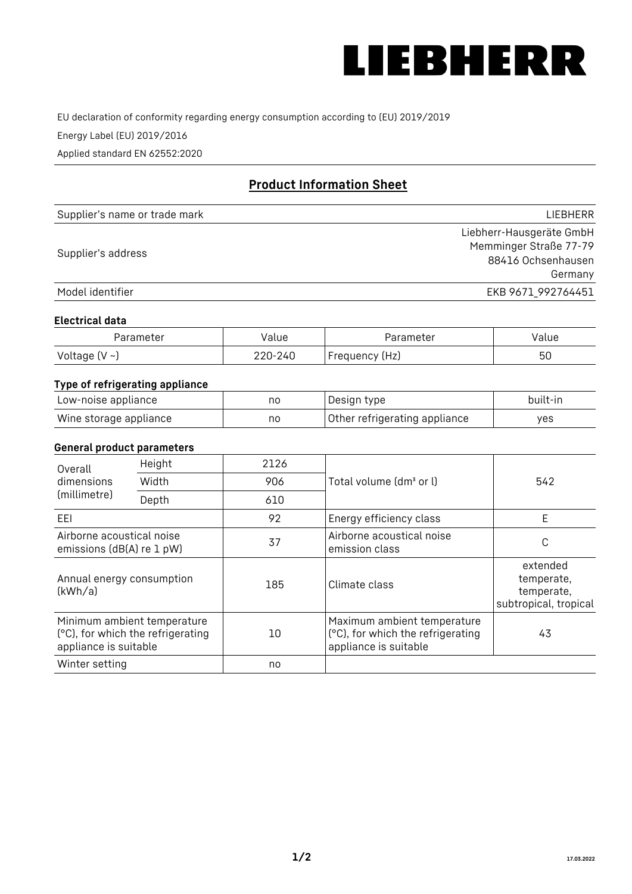

EU declaration of conformity regarding energy consumption according to (EU) 2019/2019

Energy Label (EU) 2019/2016

Applied standard EN 62552:2020

# **Product Information Sheet**

| Supplier's name or trade mark | LIEBHERR                 |
|-------------------------------|--------------------------|
|                               | Liebherr-Hausgeräte GmbH |
|                               | Memminger Straße 77-79   |
| Supplier's address            | 88416 Ochsenhausen       |
|                               | Germany                  |
| Model identifier              | EKB 9671 992764451       |

#### **Electrical data**

| Parameter     | Value   | Parameter      | Value |
|---------------|---------|----------------|-------|
| Voltage (V ~) | 220-240 | Frequency (Hz) | 50    |

## **Type of refrigerating appliance**

| Low-noise appliance    | no | Design type                   | built-in |
|------------------------|----|-------------------------------|----------|
| Wine storage appliance | no | Other refrigerating appliance | ves      |

#### **General product parameters**

| Height<br>Overall                                      |                                                                  | 2126 |                                                                                           |                                                               |
|--------------------------------------------------------|------------------------------------------------------------------|------|-------------------------------------------------------------------------------------------|---------------------------------------------------------------|
| dimensions<br>(millimetre)                             | Width                                                            | 906  | Total volume (dm <sup>3</sup> or l)                                                       | 542                                                           |
|                                                        | Depth                                                            | 610  |                                                                                           |                                                               |
| EEL                                                    |                                                                  | 92   | Energy efficiency class                                                                   | E                                                             |
| Airborne acoustical noise<br>emissions (dB(A) re 1 pW) |                                                                  | 37   | Airborne acoustical noise<br>emission class                                               | С                                                             |
| Annual energy consumption<br>(kWh/a)                   |                                                                  | 185  | Climate class                                                                             | extended<br>temperate,<br>temperate,<br>subtropical, tropical |
| appliance is suitable                                  | Minimum ambient temperature<br>(°C), for which the refrigerating | 10   | Maximum ambient temperature<br>(°C), for which the refrigerating<br>appliance is suitable | 43                                                            |
| Winter setting                                         |                                                                  | no   |                                                                                           |                                                               |